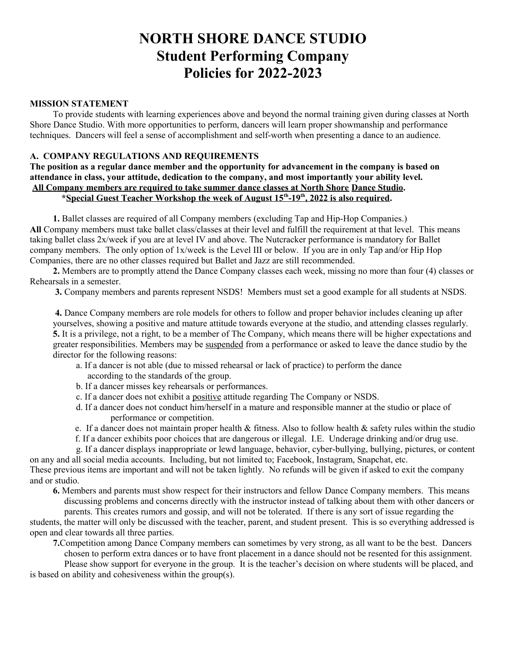# **NORTH SHORE DANCE STUDIO Student Performing Company Policies for 2022-2023**

#### **MISSION STATEMENT**

To provide students with learning experiences above and beyond the normal training given during classes at North Shore Dance Studio. With more opportunities to perform, dancers will learn proper showmanship and performance techniques. Dancers will feel a sense of accomplishment and self-worth when presenting a dance to an audience.

### **A. COMPANY REGULATIONS AND REQUIREMENTS**

**The position as a regular dance member and the opportunity for advancement in the company is based on attendance in class, your attitude, dedication to the company, and most importantly your ability level. All Company members are required to take summer dance classes at North Shore Dance Studio. \* Special Guest Teacher Workshop the week of August 15th -19th , 2022 is also required.** 

**1.** Ballet classes are required of all Company members (excluding Tap and Hip-Hop Companies.) **All** Company members must take ballet class/classes at their level and fulfill the requirement at that level. This means taking ballet class 2x/week if you are at level IV and above. The Nutcracker performance is mandatory for Ballet company members. The only option of 1x/week is the Level III or below. If you are in only Tap and/or Hip Hop Companies, there are no other classes required but Ballet and Jazz are still recommended.

**2.** Members are to promptly attend the Dance Company classes each week, missing no more than four (4) classes or Rehearsals in a semester.

**3.** Company members and parents represent NSDS! Members must set a good example for all students at NSDS.

**4.** Dance Company members are role models for others to follow and proper behavior includes cleaning up after yourselves, showing a positive and mature attitude towards everyone at the studio, and attending classes regularly. **5.** It is a privilege, not a right, to be a member of The Company, which means there will be higher expectations and greater responsibilities. Members may be suspended from a performance or asked to leave the dance studio by the director for the following reasons:

- a. If a dancer is not able (due to missed rehearsal or lack of practice) to perform the dance according to the standards of the group.
- b. If a dancer misses key rehearsals or performances.
- c. If a dancer does not exhibit a positive attitude regarding The Company or NSDS.
- d. If a dancer does not conduct him/herself in a mature and responsible manner at the studio or place of performance or competition.
- e. If a dancer does not maintain proper health  $&$  fitness. Also to follow health  $&$  safety rules within the studio
- f. If a dancer exhibits poor choices that are dangerous or illegal. I.E. Underage drinking and/or drug use.

g. If a dancer displays inappropriate or lewd language, behavior, cyber-bullying, bullying, pictures, or content on any and all social media accounts. Including, but not limited to; Facebook, Instagram, Snapchat, etc.

These previous items are important and will not be taken lightly. No refunds will be given if asked to exit the company and or studio.

 **6.** Members and parents must show respect for their instructors and fellow Dance Company members. This means discussing problems and concerns directly with the instructor instead of talking about them with other dancers or parents. This creates rumors and gossip, and will not be tolerated. If there is any sort of issue regarding the

students, the matter will only be discussed with the teacher, parent, and student present. This is so everything addressed is open and clear towards all three parties.

**7.**Competition among Dance Company members can sometimes by very strong, as all want to be the best. Dancers chosen to perform extra dances or to have front placement in a dance should not be resented for this assignment.

 Please show support for everyone in the group. It is the teacher's decision on where students will be placed, and is based on ability and cohesiveness within the group(s).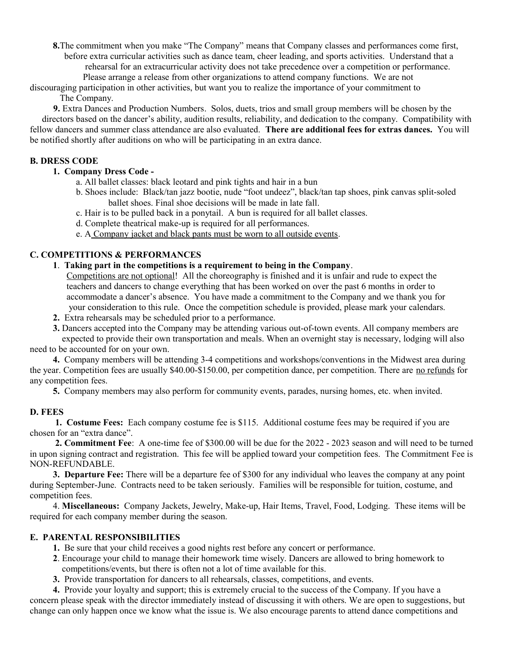**8.**The commitment when you make "The Company" means that Company classes and performances come first, before extra curricular activities such as dance team, cheer leading, and sports activities. Understand that a

rehearsal for an extracurricular activity does not take precedence over a competition or performance.

 Please arrange a release from other organizations to attend company functions. We are not discouraging participation in other activities, but want you to realize the importance of your commitment to

The Company.

 **9.** Extra Dances and Production Numbers. Solos, duets, trios and small group members will be chosen by the directors based on the dancer's ability, audition results, reliability, and dedication to the company. Compatibility with fellow dancers and summer class attendance are also evaluated. **There are additional fees for extras dances.** You will be notified shortly after auditions on who will be participating in an extra dance.

## **B. DRESS CODE**

## **1. Company Dress Code -**

a. All ballet classes: black leotard and pink tights and hair in a bun

- b. Shoes include: Black/tan jazz bootie, nude "foot undeez", black/tan tap shoes, pink canvas split-soled ballet shoes. Final shoe decisions will be made in late fall.
- c. Hair is to be pulled back in a ponytail. A bun is required for all ballet classes.
- d. Complete theatrical make-up is required for all performances.
- e. A Company jacket and black pants must be worn to all outside events.

## **C. COMPETITIONS & PERFORMANCES**

**1**. **Taking part in the competitions is a requirement to being in the Company**.

 Competitions are not optional! All the choreography is finished and it is unfair and rude to expect the teachers and dancers to change everything that has been worked on over the past 6 months in order to accommodate a dancer's absence. You have made a commitment to the Company and we thank you for your consideration to this rule. Once the competition schedule is provided, please mark your calendars.

- **2.** Extra rehearsals may be scheduled prior to a performance.
- **3.** Dancers accepted into the Company may be attending various out-of-town events. All company members are expected to provide their own transportation and meals. When an overnight stay is necessary, lodging will also

need to be accounted for on your own.

**4.** Company members will be attending 3-4 competitions and workshops/conventions in the Midwest area during the year. Competition fees are usually \$40.00-\$150.00, per competition dance, per competition. There are no refunds for any competition fees.

**5.** Company members may also perform for community events, parades, nursing homes, etc. when invited.

### **D. FEES**

**1. Costume Fees:** Each company costume fee is \$115. Additional costume fees may be required if you are chosen for an "extra dance".

**2. Commitment Fee**: A one-time fee of \$300.00 will be due for the 2022 - 2023 season and will need to be turned in upon signing contract and registration. This fee will be applied toward your competition fees. The Commitment Fee is NON-REFUNDABLE.

**3. Departure Fee:** There will be a departure fee of \$300 for any individual who leaves the company at any point during September-June. Contracts need to be taken seriously. Families will be responsible for tuition, costume, and competition fees.

4. **Miscellaneous:** Company Jackets, Jewelry, Make-up, Hair Items, Travel, Food, Lodging. These items will be required for each company member during the season.

## **E. PARENTAL RESPONSIBILITIES**

- **1.** Be sure that your child receives a good nights rest before any concert or performance.
- **2**. Encourage your child to manage their homework time wisely. Dancers are allowed to bring homework to competitions/events, but there is often not a lot of time available for this.
- **3.** Provide transportation for dancers to all rehearsals, classes, competitions, and events.

**4.** Provide your loyalty and support; this is extremely crucial to the success of the Company. If you have a concern please speak with the director immediately instead of discussing it with others. We are open to suggestions, but change can only happen once we know what the issue is. We also encourage parents to attend dance competitions and